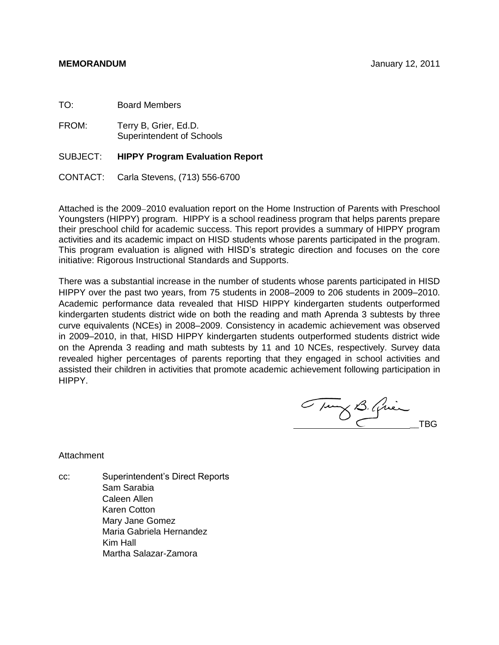TO: Board Members

FROM: Terry B, Grier, Ed.D. Superintendent of Schools

# SUBJECT: **HIPPY Program Evaluation Report**

CONTACT: Carla Stevens, (713) 556-6700

Attached is the 2009–2010 evaluation report on the Home Instruction of Parents with Preschool Youngsters (HIPPY) program. HIPPY is a school readiness program that helps parents prepare their preschool child for academic success. This report provides a summary of HIPPY program activities and its academic impact on HISD students whose parents participated in the program. This program evaluation is aligned with HISD's strategic direction and focuses on the core initiative: Rigorous Instructional Standards and Supports.

There was a substantial increase in the number of students whose parents participated in HISD HIPPY over the past two years, from 75 students in 2008–2009 to 206 students in 2009–2010. Academic performance data revealed that HISD HIPPY kindergarten students outperformed kindergarten students district wide on both the reading and math Aprenda 3 subtests by three curve equivalents (NCEs) in 2008–2009. Consistency in academic achievement was observed in 2009–2010, in that, HISD HIPPY kindergarten students outperformed students district wide on the Aprenda 3 reading and math subtests by 11 and 10 NCEs, respectively. Survey data revealed higher percentages of parents reporting that they engaged in school activities and assisted their children in activities that promote academic achievement following participation in HIPPY.

Tung B. Quin

Attachment

cc: Superintendent's Direct Reports Sam Sarabia Caleen Allen Karen Cotton Mary Jane Gomez Maria Gabriela Hernandez Kim Hall Martha Salazar-Zamora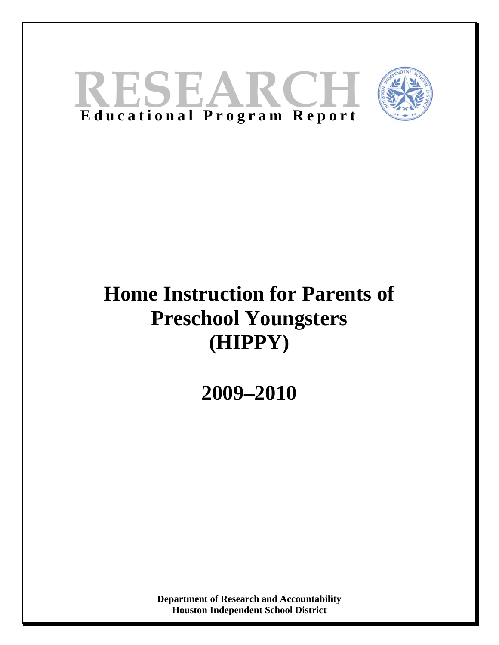



# **Home Instruction for Parents of Preschool Youngsters (HIPPY)**

**2009–2010** 

**Department of Research and Accountability Houston Independent School District**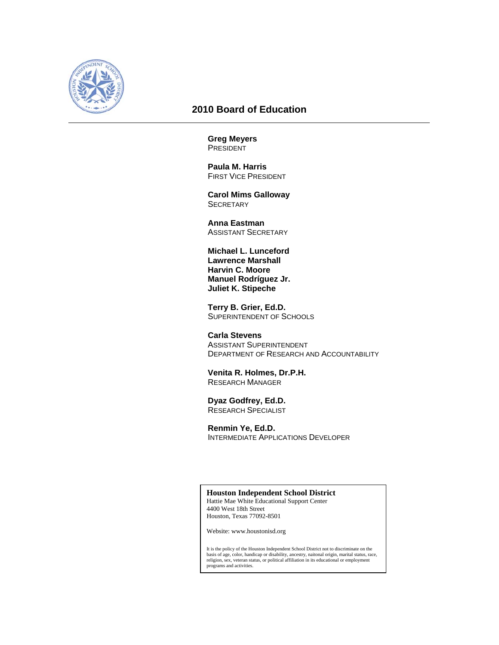

# **2010 Board of Education**

**Greg Meyers PRESIDENT** 

 **Paula M. Harris**  FIRST VICE PRESIDENT

 **Carol Mims Galloway SECRETARY** 

 **Anna Eastman**  ASSISTANT SECRETARY

**Michael L. Lunceford Lawrence Marshall Harvin C. Moore Manuel Rodríguez Jr. Juliet K. Stipeche** 

 **Terry B. Grier, Ed.D.**  SUPERINTENDENT OF SCHOOLS

 **Carla Stevens**  ASSISTANT SUPERINTENDENT DEPARTMENT OF RESEARCH AND ACCOUNTABILITY

 **Venita R. Holmes, Dr.P.H.**  RESEARCH MANAGER

**Dyaz Godfrey, Ed.D.**  RESEARCH SPECIALIST

**Renmin Ye, Ed.D.**  INTERMEDIATE APPLICATIONS DEVELOPER

**Houston Independent School District**  Hattie Mae White Educational Support Center 4400 West 18th Street Houston, Texas 77092-8501

Website: www.houstonisd.org

It is the policy of the Houston Independent School District not to discriminate on the basis of age, color, handicap or disability, ancestry, naitonal origin, marital status, race, religion, sex, veteran status, or political affiliation in its educational or employment programs and activities.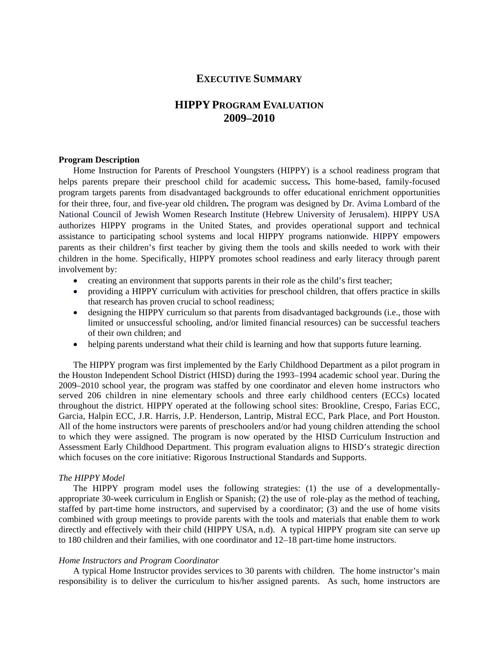# **EXECUTIVE SUMMARY**

# **HIPPY PROGRAM EVALUATION 2009–2010**

#### **Program Description**

Home Instruction for Parents of Preschool Youngsters (HIPPY) is a school readiness program that helps parents prepare their preschool child for academic success**.** This home-based, family-focused program targets parents from disadvantaged backgrounds to offer educational enrichment opportunities for their three, four, and five-year old children**.** The program was designed by Dr. Avima Lombard of the National Council of Jewish Women Research Institute (Hebrew University of Jerusalem). HIPPY USA authorizes HIPPY programs in the United States, and provides operational support and technical assistance to participating school systems and local HIPPY programs nationwide. HIPPY empowers parents as their children's first teacher by giving them the tools and skills needed to work with their children in the home. Specifically, HIPPY promotes school readiness and early literacy through parent involvement by:

- creating an environment that supports parents in their role as the child's first teacher;
- providing a HIPPY curriculum with activities for preschool children, that offers practice in skills that research has proven crucial to school readiness;
- designing the HIPPY curriculum so that parents from disadvantaged backgrounds (i.e., those with limited or unsuccessful schooling, and/or limited financial resources) can be successful teachers of their own children; and
- helping parents understand what their child is learning and how that supports future learning.

The HIPPY program was first implemented by the Early Childhood Department as a pilot program in the Houston Independent School District (HISD) during the 1993–1994 academic school year. During the 2009–2010 school year, the program was staffed by one coordinator and eleven home instructors who served 206 children in nine elementary schools and three early childhood centers (ECCs) located throughout the district. HIPPY operated at the following school sites: Brookline, Crespo, Farias ECC, Garcia, Halpin ECC, J.R. Harris, J.P. Henderson, Lantrip, Mistral ECC, Park Place, and Port Houston. All of the home instructors were parents of preschoolers and/or had young children attending the school to which they were assigned. The program is now operated by the HISD Curriculum Instruction and Assessment Early Childhood Department. This program evaluation aligns to HISD's strategic direction which focuses on the core initiative: Rigorous Instructional Standards and Supports.

#### *The HIPPY Model*

The HIPPY program model uses the following strategies: (1) the use of a developmentallyappropriate 30-week [curriculum](http://www.hippyusa.org/Model/curriculum.html) in English or Spanish; (2) the use of [role-play](http://www.hippyusa.org/Model/role_play.html) as the method of teaching, staffed by part-time home instructors, and supervised by a [coordinator](http://www.hippyusa.org/Model/visitors.html); (3) and the use of [home visits](http://www.hippyusa.org/Model/meetings.html) combined with [group meetings](http://www.hippyusa.org/Model/meetings.html) to provide parents with the tools and materials that enable them to work directly and effectively with their child (HIPPY USA, n.d). A typical HIPPY program site can serve up to 180 children and their families, with one coordinator and 12–18 part-time home instructors.

#### *Home Instructors and Program Coordinator*

A typical Home Instructor provides services to 30 parents with children. The home instructor's main responsibility is to deliver the curriculum to his/her assigned parents. As such, home instructors are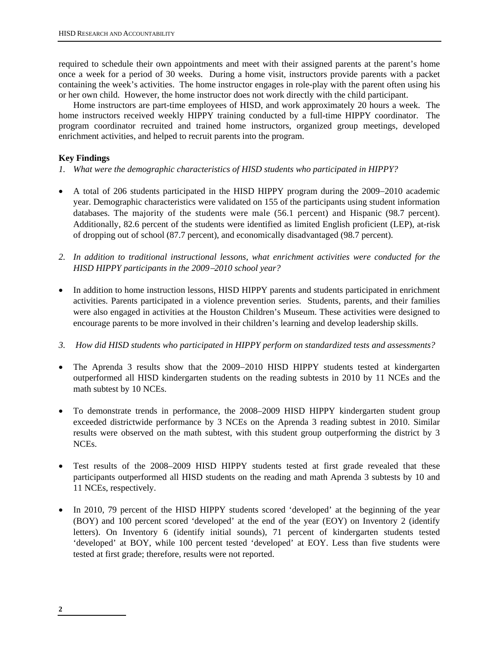required to schedule their own appointments and meet with their assigned parents at the parent's home once a week for a period of 30 weeks. During a home visit, instructors provide parents with a packet containing the week's activities. The home instructor engages in role-play with the parent often using his or her own child. However, the home instructor does not work directly with the child participant.

Home instructors are part-time employees of HISD, and work approximately 20 hours a week. The home instructors received weekly HIPPY training conducted by a full-time HIPPY coordinator. The program coordinator recruited and trained home instructors, organized group meetings, developed enrichment activities, and helped to recruit parents into the program.

# **Key Findings**

- *1. What were the demographic characteristics of HISD students who participated in HIPPY?*
- A total of 206 students participated in the HISD HIPPY program during the 2009–2010 academic year. Demographic characteristics were validated on 155 of the participants using student information databases. The majority of the students were male (56.1 percent) and Hispanic (98.7 percent). Additionally, 82.6 percent of the students were identified as limited English proficient (LEP), at-risk of dropping out of school (87.7 percent), and economically disadvantaged (98.7 percent).
- *2. In addition to traditional instructional lessons, what enrichment activities were conducted for the HISD HIPPY participants in the 20092010 school year?*
- In addition to home instruction lessons, HISD HIPPY parents and students participated in enrichment activities. Parents participated in a violence prevention series. Students, parents, and their families were also engaged in activities at the Houston Children's Museum. These activities were designed to encourage parents to be more involved in their children's learning and develop leadership skills.
- *3. How did HISD students who participated in HIPPY perform on standardized tests and assessments?*
- The Aprenda 3 results show that the 2009-2010 HISD HIPPY students tested at kindergarten outperformed all HISD kindergarten students on the reading subtests in 2010 by 11 NCEs and the math subtest by 10 NCEs.
- To demonstrate trends in performance, the 2008–2009 HISD HIPPY kindergarten student group exceeded districtwide performance by 3 NCEs on the Aprenda 3 reading subtest in 2010. Similar results were observed on the math subtest, with this student group outperforming the district by 3 NCEs.
- Test results of the 2008–2009 HISD HIPPY students tested at first grade revealed that these participants outperformed all HISD students on the reading and math Aprenda 3 subtests by 10 and 11 NCEs, respectively.
- In 2010, 79 percent of the HISD HIPPY students scored 'developed' at the beginning of the year (BOY) and 100 percent scored 'developed' at the end of the year (EOY) on Inventory 2 (identify letters). On Inventory 6 (identify initial sounds), 71 percent of kindergarten students tested 'developed' at BOY, while 100 percent tested 'developed' at EOY. Less than five students were tested at first grade; therefore, results were not reported.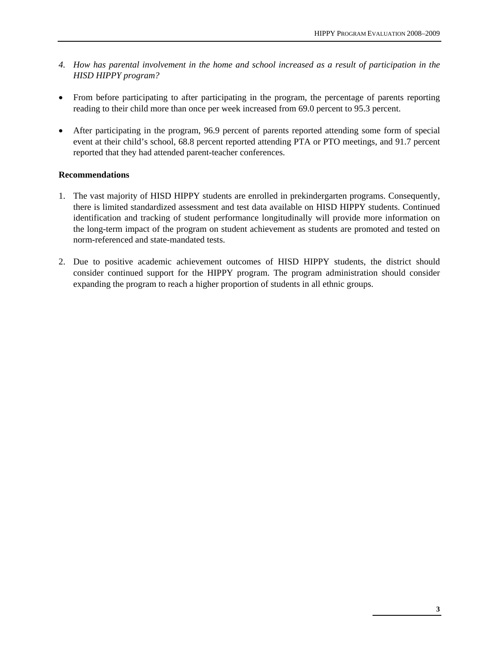- *4. How has parental involvement in the home and school increased as a result of participation in the HISD HIPPY program?*
- From before participating to after participating in the program, the percentage of parents reporting reading to their child more than once per week increased from 69.0 percent to 95.3 percent.
- After participating in the program, 96.9 percent of parents reported attending some form of special event at their child's school, 68.8 percent reported attending PTA or PTO meetings, and 91.7 percent reported that they had attended parent-teacher conferences.

# **Recommendations**

- 1. The vast majority of HISD HIPPY students are enrolled in prekindergarten programs. Consequently, there is limited standardized assessment and test data available on HISD HIPPY students. Continued identification and tracking of student performance longitudinally will provide more information on the long-term impact of the program on student achievement as students are promoted and tested on norm-referenced and state-mandated tests.
- 2. Due to positive academic achievement outcomes of HISD HIPPY students, the district should consider continued support for the HIPPY program. The program administration should consider expanding the program to reach a higher proportion of students in all ethnic groups.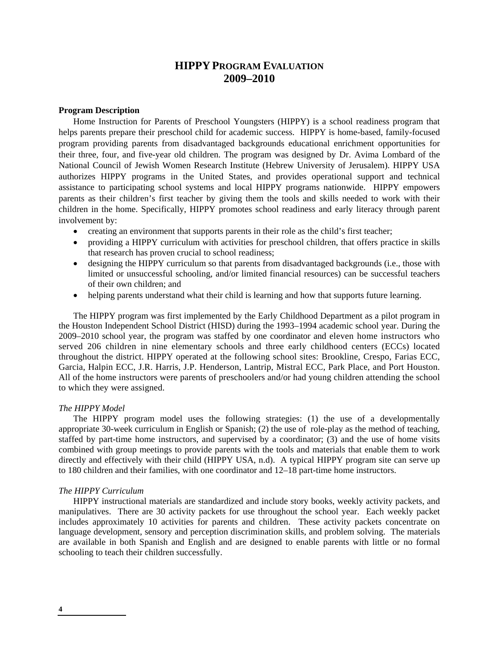# **HIPPY PROGRAM EVALUATION 2009–2010**

## **Program Description**

Home Instruction for Parents of Preschool Youngsters (HIPPY) is a school readiness program that helps parents prepare their preschool child for academic success. HIPPY is home-based, family-focused program providing parents from disadvantaged backgrounds educational enrichment opportunities for their three, four, and five-year old children. The program was designed by Dr. Avima Lombard of the National Council of Jewish Women Research Institute (Hebrew University of Jerusalem). HIPPY USA authorizes HIPPY programs in the United States, and provides operational support and technical assistance to participating school systems and local HIPPY programs nationwide. HIPPY empowers parents as their children's first teacher by giving them the tools and skills needed to work with their children in the home. Specifically, HIPPY promotes school readiness and early literacy through parent involvement by:

- creating an environment that supports parents in their role as the child's first teacher;
- providing a HIPPY curriculum with activities for preschool children, that offers practice in skills that research has proven crucial to school readiness;
- designing the HIPPY curriculum so that parents from disadvantaged backgrounds (i.e., those with limited or unsuccessful schooling, and/or limited financial resources) can be successful teachers of their own children; and
- helping parents understand what their child is learning and how that supports future learning.

The HIPPY program was first implemented by the Early Childhood Department as a pilot program in the Houston Independent School District (HISD) during the 1993–1994 academic school year. During the 2009–2010 school year, the program was staffed by one coordinator and eleven home instructors who served 206 children in nine elementary schools and three early childhood centers (ECCs) located throughout the district. HIPPY operated at the following school sites: Brookline, Crespo, Farias ECC, Garcia, Halpin ECC, J.R. Harris, J.P. Henderson, Lantrip, Mistral ECC, Park Place, and Port Houston. All of the home instructors were parents of preschoolers and/or had young children attending the school to which they were assigned.

# *The HIPPY Model*

The HIPPY program model uses the following strategies: (1) the use of a developmentally appropriate 30-week [curriculum](http://www.hippyusa.org/Model/curriculum.html) in English or Spanish; (2) the use of [role-play](http://www.hippyusa.org/Model/role_play.html) as the method of teaching, staffed by part-time home instructors, and supervised by a [coordinator](http://www.hippyusa.org/Model/visitors.html); (3) and the use of [home visits](http://www.hippyusa.org/Model/meetings.html) combined with [group meetings](http://www.hippyusa.org/Model/meetings.html) to provide parents with the tools and materials that enable them to work directly and effectively with their child (HIPPY USA, n.d). A typical HIPPY program site can serve up to 180 children and their families, with one coordinator and 12–18 part-time home instructors.

#### *The HIPPY Curriculum*

 HIPPY instructional materials are standardized and include story books, weekly activity packets, and manipulatives. There are 30 activity packets for use throughout the school year. Each weekly packet includes approximately 10 activities for parents and children. These activity packets concentrate on language development, sensory and perception discrimination skills, and problem solving. The materials are available in both Spanish and English and are designed to enable parents with little or no formal schooling to teach their children successfully.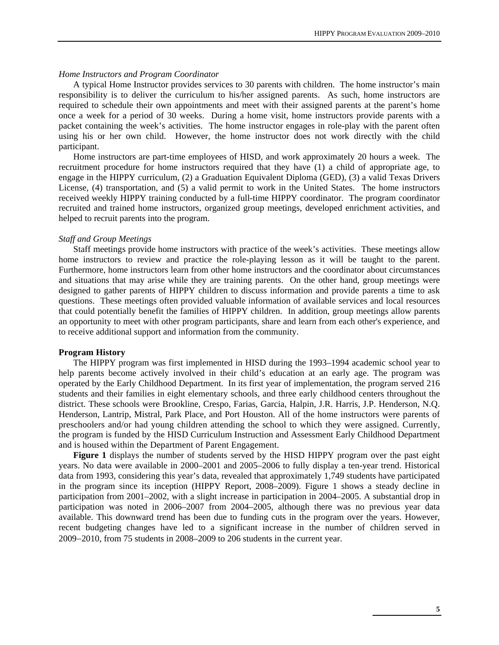#### *Home Instructors and Program Coordinator*

A typical Home Instructor provides services to 30 parents with children. The home instructor's main responsibility is to deliver the curriculum to his/her assigned parents. As such, home instructors are required to schedule their own appointments and meet with their assigned parents at the parent's home once a week for a period of 30 weeks. During a home visit, home instructors provide parents with a packet containing the week's activities. The home instructor engages in role-play with the parent often using his or her own child. However, the home instructor does not work directly with the child participant.

Home instructors are part-time employees of HISD, and work approximately 20 hours a week. The recruitment procedure for home instructors required that they have (1) a child of appropriate age, to engage in the HIPPY curriculum, (2) a Graduation Equivalent Diploma (GED), (3) a valid Texas Drivers License, (4) transportation, and (5) a valid permit to work in the United States. The home instructors received weekly HIPPY training conducted by a full-time HIPPY coordinator. The program coordinator recruited and trained home instructors, organized group meetings, developed enrichment activities, and helped to recruit parents into the program.

## *Staff and Group Meetings*

Staff meetings provide home instructors with practice of the week's activities. These meetings allow home instructors to review and practice the role-playing lesson as it will be taught to the parent. Furthermore, home instructors learn from other home instructors and the coordinator about circumstances and situations that may arise while they are training parents. On the other hand, group meetings were designed to gather parents of HIPPY children to discuss information and provide parents a time to ask questions. These meetings often provided valuable information of available services and local resources that could potentially benefit the families of HIPPY children. In addition, group meetings allow parents an opportunity to meet with other program participants, share and learn from each other's experience, and to receive additional support and information from the community.

#### **Program History**

The HIPPY program was first implemented in HISD during the 1993–1994 academic school year to help parents become actively involved in their child's education at an early age. The program was operated by the Early Childhood Department. In its first year of implementation, the program served 216 students and their families in eight elementary schools, and three early childhood centers throughout the district. These schools were Brookline, Crespo, Farias, Garcia, Halpin, J.R. Harris, J.P. Henderson, N.Q. Henderson, Lantrip, Mistral, Park Place, and Port Houston. All of the home instructors were parents of preschoolers and/or had young children attending the school to which they were assigned. Currently, the program is funded by the HISD Curriculum Instruction and Assessment Early Childhood Department and is housed within the Department of Parent Engagement.

**Figure 1** displays the number of students served by the HISD HIPPY program over the past eight years. No data were available in 2000–2001 and 2005–2006 to fully display a ten-year trend. Historical data from 1993, considering this year's data, revealed that approximately 1,749 students have participated in the program since its inception (HIPPY Report, 2008–2009). Figure 1 shows a steady decline in participation from 2001–2002, with a slight increase in participation in 2004–2005. A substantial drop in participation was noted in 2006–2007 from 2004–2005, although there was no previous year data available. This downward trend has been due to funding cuts in the program over the years. However, recent budgeting changes have led to a significant increase in the number of children served in  $2009-2010$ , from 75 students in  $2008-2009$  to  $206$  students in the current year.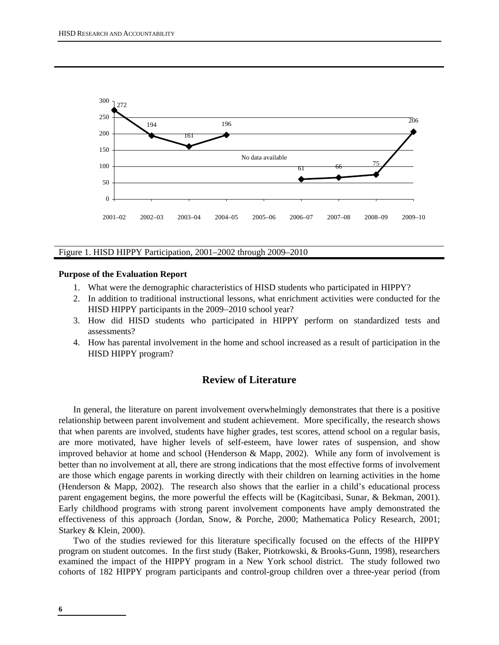

#### Figure 1. HISD HIPPY Participation, 2001–2002 through 2009–2010

#### **Purpose of the Evaluation Report**

- 1. What were the demographic characteristics of HISD students who participated in HIPPY?
- 2. In addition to traditional instructional lessons, what enrichment activities were conducted for the HISD HIPPY participants in the 2009–2010 school year?
- 3. How did HISD students who participated in HIPPY perform on standardized tests and assessments?
- 4. How has parental involvement in the home and school increased as a result of participation in the HISD HIPPY program?

# **Review of Literature**

In general, the literature on parent involvement overwhelmingly demonstrates that there is a positive relationship between parent involvement and student achievement. More specifically, the research shows that when parents are involved, students have higher grades, test scores, attend school on a regular basis, are more motivated, have higher levels of self-esteem, have lower rates of suspension, and show improved behavior at home and school (Henderson & Mapp, 2002). While any form of involvement is better than no involvement at all, there are strong indications that the most effective forms of involvement are those which engage parents in working directly with their children on learning activities in the home (Henderson & Mapp, 2002). The research also shows that the earlier in a child's educational process parent engagement begins, the more powerful the effects will be (Kagitcibasi, Sunar, & Bekman, 2001). Early childhood programs with strong parent involvement components have amply demonstrated the effectiveness of this approach (Jordan, Snow, & Porche, 2000; Mathematica Policy Research, 2001; Starkey & Klein, 2000).

Two of the studies reviewed for this literature specifically focused on the effects of the HIPPY program on student outcomes. In the first study (Baker, Piotrkowski, & Brooks-Gunn, 1998), researchers examined the impact of the HIPPY program in a New York school district. The study followed two cohorts of 182 HIPPY program participants and control-group children over a three-year period (from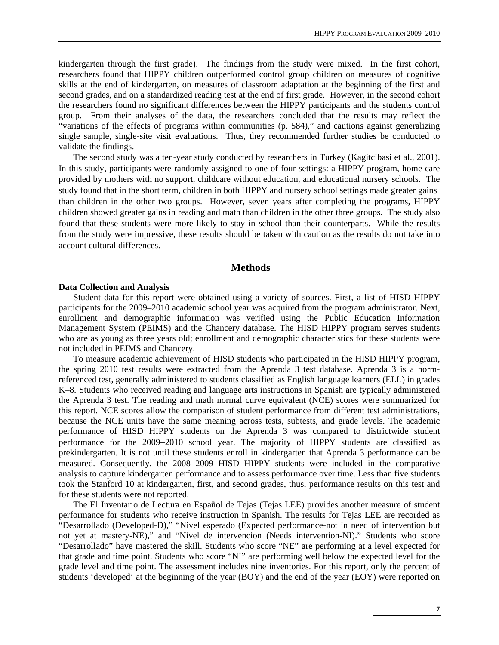kindergarten through the first grade). The findings from the study were mixed. In the first cohort, researchers found that HIPPY children outperformed control group children on measures of cognitive skills at the end of kindergarten, on measures of classroom adaptation at the beginning of the first and second grades, and on a standardized reading test at the end of first grade. However, in the second cohort the researchers found no significant differences between the HIPPY participants and the students control group. From their analyses of the data, the researchers concluded that the results may reflect the "variations of the effects of programs within communities (p. 584)," and cautions against generalizing single sample, single-site visit evaluations. Thus, they recommended further studies be conducted to validate the findings.

The second study was a ten-year study conducted by researchers in Turkey (Kagitcibasi et al., 2001). In this study, participants were randomly assigned to one of four settings: a HIPPY program, home care provided by mothers with no support, childcare without education, and educational nursery schools. The study found that in the short term, children in both HIPPY and nursery school settings made greater gains than children in the other two groups. However, seven years after completing the programs, HIPPY children showed greater gains in reading and math than children in the other three groups. The study also found that these students were more likely to stay in school than their counterparts. While the results from the study were impressive, these results should be taken with caution as the results do not take into account cultural differences.

# **Methods**

#### **Data Collection and Analysis**

Student data for this report were obtained using a variety of sources. First, a list of HISD HIPPY participants for the 2009–2010 academic school year was acquired from the program administrator. Next, enrollment and demographic information was verified using the Public Education Information Management System (PEIMS) and the Chancery database. The HISD HIPPY program serves students who are as young as three years old; enrollment and demographic characteristics for these students were not included in PEIMS and Chancery.

To measure academic achievement of HISD students who participated in the HISD HIPPY program, the spring 2010 test results were extracted from the Aprenda 3 test database. Aprenda 3 is a normreferenced test, generally administered to students classified as English language learners (ELL) in grades K–8. Students who received reading and language arts instructions in Spanish are typically administered the Aprenda 3 test. The reading and math normal curve equivalent (NCE) scores were summarized for this report. NCE scores allow the comparison of student performance from different test administrations, because the NCE units have the same meaning across tests, subtests, and grade levels. The academic performance of HISD HIPPY students on the Aprenda 3 was compared to districtwide student performance for the 2009-2010 school year. The majority of HIPPY students are classified as prekindergarten. It is not until these students enroll in kindergarten that Aprenda 3 performance can be measured. Consequently, the 2008-2009 HISD HIPPY students were included in the comparative analysis to capture kindergarten performance and to assess performance over time. Less than five students took the Stanford 10 at kindergarten, first, and second grades, thus, performance results on this test and for these students were not reported.

The El Inventario de Lectura en Español de Tejas (Tejas LEE) provides another measure of student performance for students who receive instruction in Spanish. The results for Tejas LEE are recorded as "Desarrollado (Developed-D)," "Nivel esperado (Expected performance-not in need of intervention but not yet at mastery-NE)," and "Nivel de intervencion (Needs intervention-NI)." Students who score "Desarrollado" have mastered the skill. Students who score "NE" are performing at a level expected for that grade and time point. Students who score "NI" are performing well below the expected level for the grade level and time point. The assessment includes nine inventories. For this report, only the percent of students 'developed' at the beginning of the year (BOY) and the end of the year (EOY) were reported on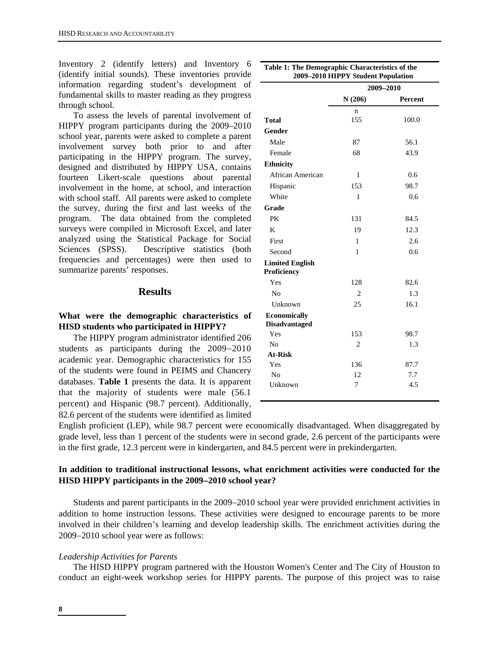Inventory 2 (identify letters) and Inventory 6 (identify initial sounds). These inventories provide information regarding student's development of fundamental skills to master reading as they progress through school.

To assess the levels of parental involvement of HIPPY program participants during the 2009–2010 school year, parents were asked to complete a parent involvement survey both prior to and after participating in the HIPPY program. The survey, designed and distributed by HIPPY USA, contains fourteen Likert-scale questions about parental involvement in the home, at school, and interaction with school staff. All parents were asked to complete the survey, during the first and last weeks of the program. The data obtained from the completed surveys were compiled in Microsoft Excel, and later analyzed using the Statistical Package for Social Sciences (SPSS). Descriptive statistics (both frequencies and percentages) were then used to summarize parents' responses.

# **Results**

# **What were the demographic characteristics of HISD students who participated in HIPPY?**

The HIPPY program administrator identified 206 students as participants during the  $2009-2010$ academic year. Demographic characteristics for 155 of the students were found in PEIMS and Chancery databases. **Table 1** presents the data. It is apparent that the majority of students were male (56.1 percent) and Hispanic (98.7 percent). Additionally, 82.6 percent of the students were identified as limited

|                                             | 2009-2010 HIPPY Student Population<br>2009-2010 |         |  |  |  |  |
|---------------------------------------------|-------------------------------------------------|---------|--|--|--|--|
|                                             | N(206)                                          | Percent |  |  |  |  |
|                                             | n                                               |         |  |  |  |  |
| <b>Total</b>                                | 155                                             | 100.0   |  |  |  |  |
| Gender                                      |                                                 |         |  |  |  |  |
| Male                                        | 87                                              | 56.1    |  |  |  |  |
| Female                                      | 68                                              | 43.9    |  |  |  |  |
| <b>Ethnicity</b>                            |                                                 |         |  |  |  |  |
| African American                            | 1                                               | 0.6     |  |  |  |  |
| Hispanic                                    | 153                                             | 98.7    |  |  |  |  |
| White                                       | 1                                               | 0.6     |  |  |  |  |
| Grade                                       |                                                 |         |  |  |  |  |
| PK                                          | 131                                             | 84.5    |  |  |  |  |
| K                                           | 19                                              | 12.3    |  |  |  |  |
| First                                       | 1                                               | 2.6     |  |  |  |  |
| Second                                      | 1                                               | 0.6     |  |  |  |  |
| <b>Limited English</b><br>Proficiency       |                                                 |         |  |  |  |  |
| Yes                                         | 128                                             | 82.6    |  |  |  |  |
| No                                          | 2                                               | 1.3     |  |  |  |  |
| Unknown                                     | 25                                              | 16.1    |  |  |  |  |
| <b>Economically</b><br><b>Disadvantaged</b> |                                                 |         |  |  |  |  |
| Yes                                         | 153                                             | 98.7    |  |  |  |  |
| N <sub>0</sub>                              | 2                                               | 1.3     |  |  |  |  |
| <b>At-Risk</b>                              |                                                 |         |  |  |  |  |
| Yes                                         | 136                                             | 87.7    |  |  |  |  |
| N <sub>0</sub>                              | 12                                              | 7.7     |  |  |  |  |
| Unknown                                     | 7                                               | 4.5     |  |  |  |  |

English proficient (LEP), while 98.7 percent were economically disadvantaged. When disaggregated by grade level, less than 1 percent of the students were in second grade, 2.6 percent of the participants were in the first grade, 12.3 percent were in kindergarten, and 84.5 percent were in prekindergarten.

# **In addition to traditional instructional lessons, what enrichment activities were conducted for the HISD HIPPY participants in the 20092010 school year?**

Students and parent participants in the 2009–2010 school year were provided enrichment activities in addition to home instruction lessons. These activities were designed to encourage parents to be more involved in their children's learning and develop leadership skills. The enrichment activities during the 2009–2010 school year were as follows:

#### *Leadership Activities for Parents*

The HISD HIPPY program partnered with the Houston Women's Center and The City of Houston to conduct an eight-week workshop series for HIPPY parents. The purpose of this project was to raise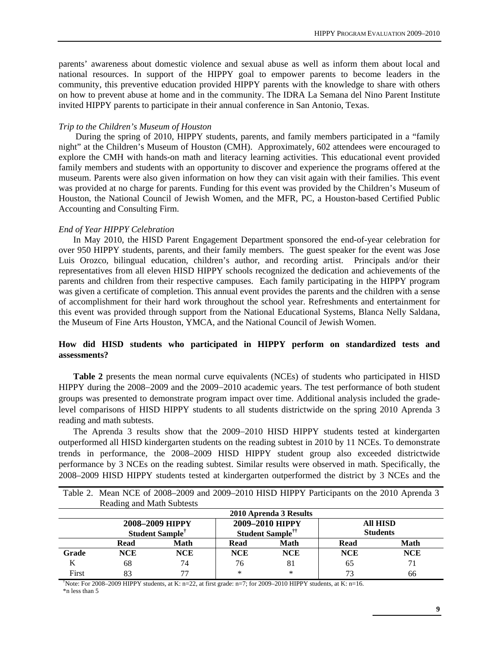parents' awareness about domestic violence and sexual abuse as well as inform them about local and national resources. In support of the HIPPY goal to empower parents to become leaders in the community, this preventive education provided HIPPY parents with the knowledge to share with others on how to prevent abuse at home and in the community. The IDRA La Semana del Nino Parent Institute invited HIPPY parents to participate in their annual conference in San Antonio, Texas.

#### *Trip to the Children's Museum of Houston*

 During the spring of 2010, HIPPY students, parents, and family members participated in a "family night" at the Children's Museum of Houston (CMH). Approximately, 602 attendees were encouraged to explore the CMH with hands-on math and literacy learning activities. This educational event provided family members and students with an opportunity to discover and experience the programs offered at the museum. Parents were also given information on how they can visit again with their families. This event was provided at no charge for parents. Funding for this event was provided by the Children's Museum of Houston, the National Council of Jewish Women, and the MFR, PC, a Houston-based Certified Public Accounting and Consulting Firm.

#### *End of Year HIPPY Celebration*

In May 2010, the HISD Parent Engagement Department sponsored the end-of-year celebration for over 950 HIPPY students, parents, and their family members. The guest speaker for the event was Jose Luis Orozco, bilingual education, children's author, and recording artist. Principals and/or their representatives from all eleven HISD HIPPY schools recognized the dedication and achievements of the parents and children from their respective campuses. Each family participating in the HIPPY program was given a certificate of completion. This annual event provides the parents and the children with a sense of accomplishment for their hard work throughout the school year. Refreshments and entertainment for this event was provided through support from the National Educational Systems, Blanca Nelly Saldana, the Museum of Fine Arts Houston, YMCA, and the National Council of Jewish Women.

# **How did HISD students who participated in HIPPY perform on standardized tests and assessments?**

**Table 2** presents the mean normal curve equivalents (NCEs) of students who participated in HISD HIPPY during the 2008–2009 and the 2009–2010 academic years. The test performance of both student groups was presented to demonstrate program impact over time. Additional analysis included the gradelevel comparisons of HISD HIPPY students to all students districtwide on the spring 2010 Aprenda 3 reading and math subtests.

The Aprenda 3 results show that the 2009–2010 HISD HIPPY students tested at kindergarten outperformed all HISD kindergarten students on the reading subtest in 2010 by 11 NCEs. To demonstrate trends in performance, the 2008–2009 HISD HIPPY student group also exceeded districtwide performance by 3 NCEs on the reading subtest. Similar results were observed in math. Specifically, the 2008–2009 HISD HIPPY students tested at kindergarten outperformed the district by 3 NCEs and the

|                                                                                                                                                | Reading and Main Subjests |                                                |            | 2010 Aprenda 3 Results                                |                                    |            |  |
|------------------------------------------------------------------------------------------------------------------------------------------------|---------------------------|------------------------------------------------|------------|-------------------------------------------------------|------------------------------------|------------|--|
|                                                                                                                                                |                           | 2008-2009 HIPPY<br>Student Sample <sup>†</sup> |            | 2009-2010 HIPPY<br><b>Student Sample<sup>††</sup></b> | <b>All HISD</b><br><b>Students</b> |            |  |
|                                                                                                                                                | Read                      | Math                                           | Read       | Math                                                  | Read                               | Math       |  |
| Grade                                                                                                                                          | <b>NCE</b>                | <b>NCE</b>                                     | <b>NCE</b> | <b>NCE</b>                                            | <b>NCE</b>                         | <b>NCE</b> |  |
| K                                                                                                                                              | 68                        | 74                                             | 76         | 81                                                    | 65                                 | 71         |  |
| First                                                                                                                                          | 83                        | 77                                             | $\ast$     | $\ast$                                                | 73                                 | 66         |  |
| <sup><math>\dagger</math></sup> Note: For 2008–2009 HIPPY students, at K: n=22, at first grade: n=7; for 2009–2010 HIPPY students, at K: n=16. |                           |                                                |            |                                                       |                                    |            |  |

Table 2. Mean NCE of 2008–2009 and 2009–2010 HISD HIPPY Participants on the 2010 Aprenda 3 Reading and Math Subtests

\*n less than 5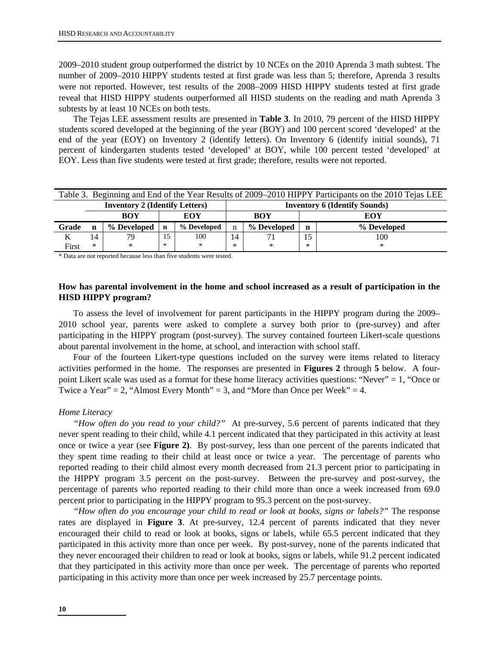2009–2010 student group outperformed the district by 10 NCEs on the 2010 Aprenda 3 math subtest. The number of 2009–2010 HIPPY students tested at first grade was less than 5; therefore, Aprenda 3 results were not reported. However, test results of the 2008–2009 HISD HIPPY students tested at first grade reveal that HISD HIPPY students outperformed all HISD students on the reading and math Aprenda 3 subtests by at least 10 NCEs on both tests.

The Tejas LEE assessment results are presented in **Table 3**. In 2010, 79 percent of the HISD HIPPY students scored developed at the beginning of the year (BOY) and 100 percent scored 'developed' at the end of the year (EOY) on Inventory 2 (identify letters). On Inventory 6 (identify initial sounds), 71 percent of kindergarten students tested 'developed' at BOY, while 100 percent tested 'developed' at EOY. Less than five students were tested at first grade; therefore, results were not reported.

| Table 3. Beginning and End of the Year Results of 2009–2010 HIPPY Participants on the 2010 Tejas LEE |    |             |             |                                      |    |             |                  |     |  |
|------------------------------------------------------------------------------------------------------|----|-------------|-------------|--------------------------------------|----|-------------|------------------|-----|--|
| <b>Inventory 2 (Identify Letters)</b>                                                                |    |             |             | <b>Inventory 6 (Identify Sounds)</b> |    |             |                  |     |  |
|                                                                                                      |    | <b>BOY</b>  | EOY         |                                      |    | <b>BOY</b>  | EOY              |     |  |
| Grade                                                                                                | n  | % Developed | $\mathbf n$ | % Developed                          | n  | % Developed | % Developed<br>n |     |  |
| Κ                                                                                                    | 14 | 79          | 15          | 100                                  | 14 |             | 15               | 100 |  |
| First                                                                                                | ∗  | $\ast$      | ∗           | $*$                                  | ∗  | $\ast$      | ∗                | ∗   |  |

\* Data are not reported because less than five students were tested.

# **How has parental involvement in the home and school increased as a result of participation in the HISD HIPPY program?**

To assess the level of involvement for parent participants in the HIPPY program during the 2009– 2010 school year, parents were asked to complete a survey both prior to (pre-survey) and after participating in the HIPPY program (post-survey). The survey contained fourteen Likert-scale questions about parental involvement in the home, at school, and interaction with school staff.

Four of the fourteen Likert-type questions included on the survey were items related to literacy activities performed in the home. The responses are presented in **Figures 2** through **5** below. A fourpoint Likert scale was used as a format for these home literacy activities questions: "Never" = 1, "Once or Twice a Year" = 2, "Almost Every Month" = 3, and "More than Once per Week" = 4.

#### *Home Literacy*

 *"How often do you read to your child?"* At pre-survey, 5.6 percent of parents indicated that they never spent reading to their child, while 4.1 percent indicated that they participated in this activity at least once or twice a year (see **Figure 2)**. By post-survey, less than one percent of the parents indicated that they spent time reading to their child at least once or twice a year. The percentage of parents who reported reading to their child almost every month decreased from 21.3 percent prior to participating in the HIPPY program 3.5 percent on the post-survey. Between the pre-survey and post-survey, the percentage of parents who reported reading to their child more than once a week increased from 69.0 percent prior to participating in the HIPPY program to 95.3 percent on the post-survey.

*"How often do you encourage your child to read or look at books, signs or labels?"* The response rates are displayed in **Figure 3**. At pre-survey, 12.4 percent of parents indicated that they never encouraged their child to read or look at books, signs or labels, while 65.5 percent indicated that they participated in this activity more than once per week. By post-survey, none of the parents indicated that they never encouraged their children to read or look at books, signs or labels, while 91.2 percent indicated that they participated in this activity more than once per week. The percentage of parents who reported participating in this activity more than once per week increased by 25.7 percentage points.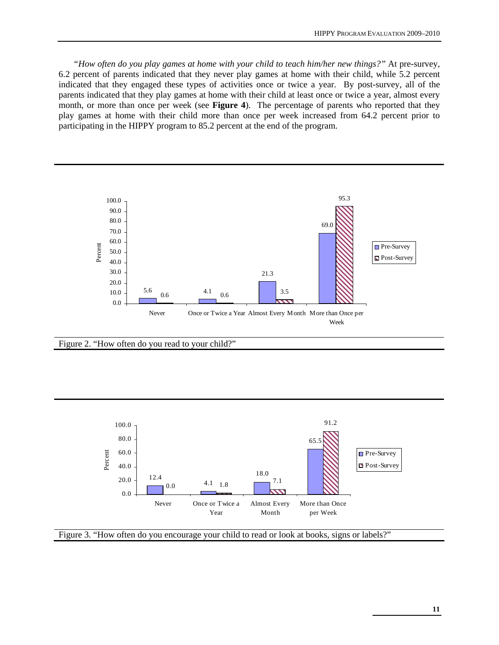*"How often do you play games at home with your child to teach him/her new things?"* At pre-survey, 6.2 percent of parents indicated that they never play games at home with their child, while 5.2 percent indicated that they engaged these types of activities once or twice a year. By post-survey, all of the parents indicated that they play games at home with their child at least once or twice a year, almost every month, or more than once per week (see **Figure 4**). The percentage of parents who reported that they play games at home with their child more than once per week increased from 64.2 percent prior to participating in the HIPPY program to 85.2 percent at the end of the program.



Figure 2. "How often do you read to your child?"



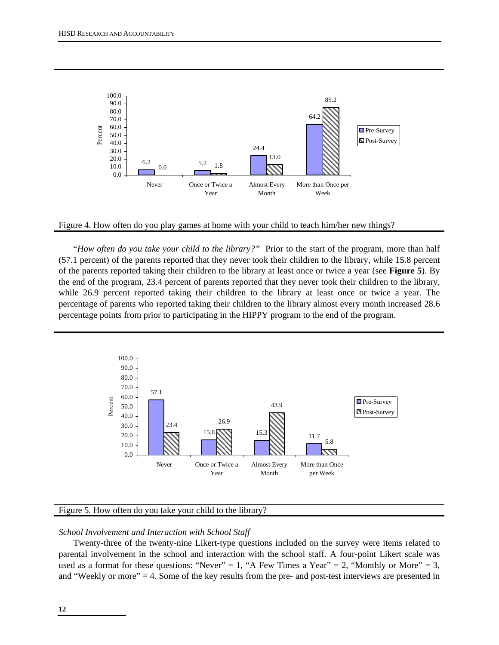



 "*How often do you take your child to the library?"*Prior to the start of the program, more than half (57.1 percent) of the parents reported that they never took their children to the library, while 15.8 percent of the parents reported taking their children to the library at least once or twice a year (see **Figure 5**). By the end of the program, 23.4 percent of parents reported that they never took their children to the library, while 26.9 percent reported taking their children to the library at least once or twice a year. The percentage of parents who reported taking their children to the library almost every month increased 28.6 percentage points from prior to participating in the HIPPY program to the end of the program.



#### Figure 5. How often do you take your child to the library?

#### *School Involvement and Interaction with School Staff*

Twenty-three of the twenty-nine Likert-type questions included on the survey were items related to parental involvement in the school and interaction with the school staff. A four-point Likert scale was used as a format for these questions: "Never" = 1, "A Few Times a Year" = 2, "Monthly or More" = 3, and "Weekly or more" = 4. Some of the key results from the pre- and post-test interviews are presented in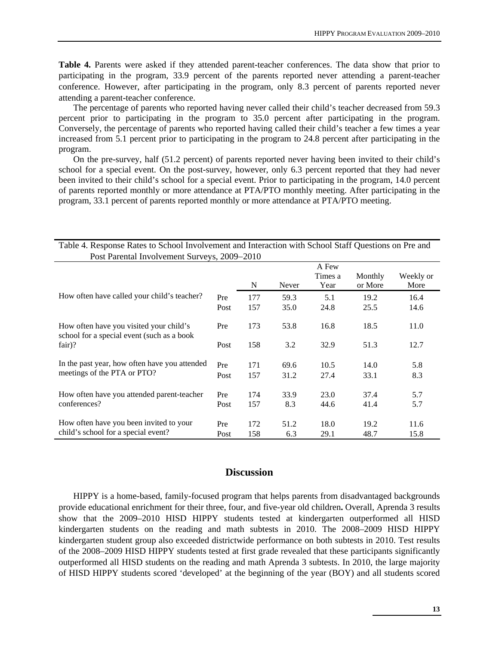**Table 4.** Parents were asked if they attended parent-teacher conferences. The data show that prior to participating in the program, 33.9 percent of the parents reported never attending a parent-teacher conference. However, after participating in the program, only 8.3 percent of parents reported never attending a parent-teacher conference.

The percentage of parents who reported having never called their child's teacher decreased from 59.3 percent prior to participating in the program to 35.0 percent after participating in the program. Conversely, the percentage of parents who reported having called their child's teacher a few times a year increased from 5.1 percent prior to participating in the program to 24.8 percent after participating in the program.

On the pre-survey, half (51.2 percent) of parents reported never having been invited to their child's school for a special event. On the post-survey, however, only 6.3 percent reported that they had never been invited to their child's school for a special event. Prior to participating in the program, 14.0 percent of parents reported monthly or more attendance at PTA/PTO monthly meeting. After participating in the program, 33.1 percent of parents reported monthly or more attendance at PTA/PTO meeting.

| Post Parental Involvement Surveys, 2009-2010                                          |             |            |             |                          |                    |                   |  |  |  |
|---------------------------------------------------------------------------------------|-------------|------------|-------------|--------------------------|--------------------|-------------------|--|--|--|
|                                                                                       |             | N          | Never       | A Few<br>Times a<br>Year | Monthly<br>or More | Weekly or<br>More |  |  |  |
| How often have called your child's teacher?                                           | Pre         | 177        | 59.3        | 5.1                      | 19.2               | 16.4              |  |  |  |
|                                                                                       | Post        | 157        | 35.0        | 24.8                     | 25.5               | 14.6              |  |  |  |
| How often have you visited your child's<br>school for a special event (such as a book | Pre         | 173        | 53.8        | 16.8                     | 18.5               | 11.0              |  |  |  |
| $fair$ ?                                                                              | Post        | 158        | 3.2         | 32.9                     | 51.3               | 12.7              |  |  |  |
| In the past year, how often have you attended                                         | Pre         | 171        | 69.6        | 10.5                     | 14.0               | 5.8               |  |  |  |
| meetings of the PTA or PTO?                                                           | Post        | 157        | 31.2        | 27.4                     | 33.1               | 8.3               |  |  |  |
| How often have you attended parent-teacher                                            | Pre         | 174        | 33.9        | 23.0                     | 37.4               | 5.7               |  |  |  |
| conferences?                                                                          | Post        | 157        | 8.3         | 44.6                     | 41.4               | 5.7               |  |  |  |
| How often have you been invited to your<br>child's school for a special event?        | Pre<br>Post | 172<br>158 | 51.2<br>6.3 | 18.0<br>29.1             | 19.2<br>48.7       | 11.6<br>15.8      |  |  |  |

Table 4. Response Rates to School Involvement and Interaction with School Staff Questions on Pre and

# **Discussion**

HIPPY is a home-based, family-focused program that helps parents from disadvantaged backgrounds provide educational enrichment for their three, four, and five-year old children**.** Overall, Aprenda 3 results show that the 2009–2010 HISD HIPPY students tested at kindergarten outperformed all HISD kindergarten students on the reading and math subtests in 2010. The 2008–2009 HISD HIPPY kindergarten student group also exceeded districtwide performance on both subtests in 2010. Test results of the 2008–2009 HISD HIPPY students tested at first grade revealed that these participants significantly outperformed all HISD students on the reading and math Aprenda 3 subtests. In 2010, the large majority of HISD HIPPY students scored 'developed' at the beginning of the year (BOY) and all students scored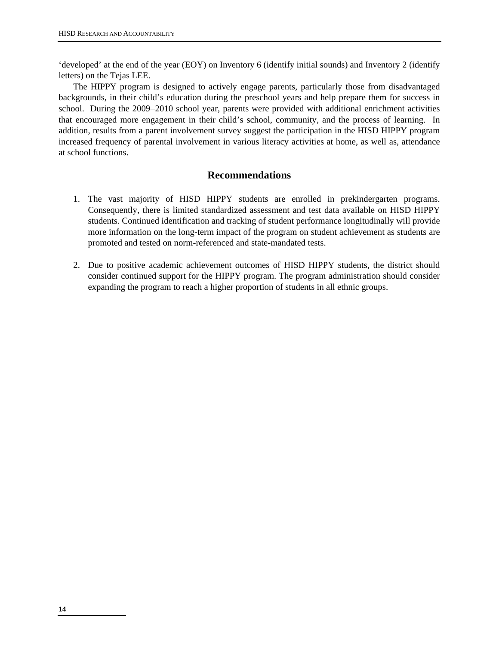'developed' at the end of the year (EOY) on Inventory 6 (identify initial sounds) and Inventory 2 (identify letters) on the Tejas LEE.

The HIPPY program is designed to actively engage parents, particularly those from disadvantaged backgrounds, in their child's education during the preschool years and help prepare them for success in school. During the 2009–2010 school year, parents were provided with additional enrichment activities that encouraged more engagement in their child's school, community, and the process of learning. In addition, results from a parent involvement survey suggest the participation in the HISD HIPPY program increased frequency of parental involvement in various literacy activities at home, as well as, attendance at school functions.

# **Recommendations**

- 1. The vast majority of HISD HIPPY students are enrolled in prekindergarten programs. Consequently, there is limited standardized assessment and test data available on HISD HIPPY students. Continued identification and tracking of student performance longitudinally will provide more information on the long-term impact of the program on student achievement as students are promoted and tested on norm-referenced and state-mandated tests.
- 2. Due to positive academic achievement outcomes of HISD HIPPY students, the district should consider continued support for the HIPPY program. The program administration should consider expanding the program to reach a higher proportion of students in all ethnic groups.